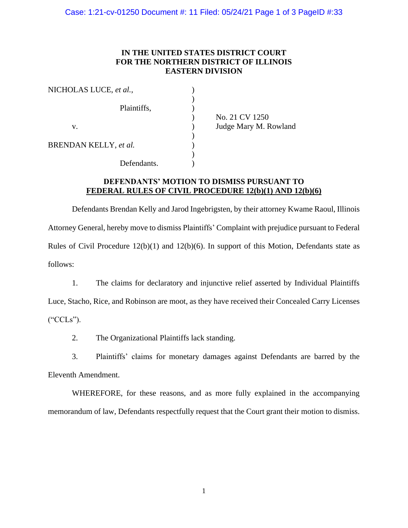## **IN THE UNITED STATES DISTRICT COURT FOR THE NORTHERN DISTRICT OF ILLINOIS EASTERN DIVISION**

| NICHOLAS LUCE, et al., |             |                       |
|------------------------|-------------|-----------------------|
|                        |             |                       |
|                        | Plaintiffs, |                       |
|                        |             | No. 21 CV 1250        |
| v.                     |             | Judge Mary M. Rowland |
|                        |             |                       |
| BRENDAN KELLY, et al.  |             |                       |
|                        |             |                       |
|                        | Defendants. |                       |

## **DEFENDANTS' MOTION TO DISMISS PURSUANT TO FEDERAL RULES OF CIVIL PROCEDURE 12(b)(1) AND 12(b)(6)**

Defendants Brendan Kelly and Jarod Ingebrigsten, by their attorney Kwame Raoul, Illinois Attorney General, hereby move to dismiss Plaintiffs' Complaint with prejudice pursuant to Federal Rules of Civil Procedure 12(b)(1) and 12(b)(6). In support of this Motion, Defendants state as follows:

1. The claims for declaratory and injunctive relief asserted by Individual Plaintiffs Luce, Stacho, Rice, and Robinson are moot, as they have received their Concealed Carry Licenses ("CCLs").

2. The Organizational Plaintiffs lack standing.

3. Plaintiffs' claims for monetary damages against Defendants are barred by the Eleventh Amendment.

WHEREFORE, for these reasons, and as more fully explained in the accompanying memorandum of law, Defendants respectfully request that the Court grant their motion to dismiss.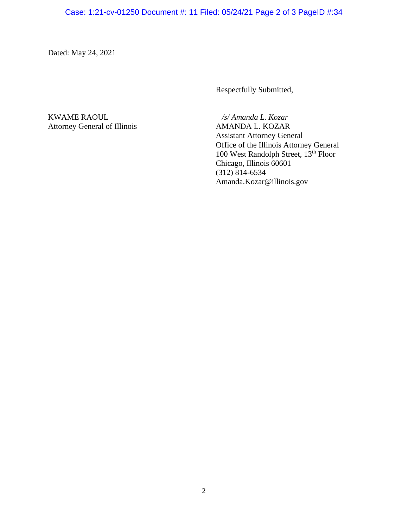Dated: May 24, 2021

Respectfully Submitted,

KWAME RAOUL */s/ Amanda L. Kozar* Attorney General of Illinois AMANDA L. KOZAR

Assistant Attorney General Office of the Illinois Attorney General 100 West Randolph Street, 13<sup>th</sup> Floor Chicago, Illinois 60601 (312) 814-6534 Amanda.Kozar@illinois.gov